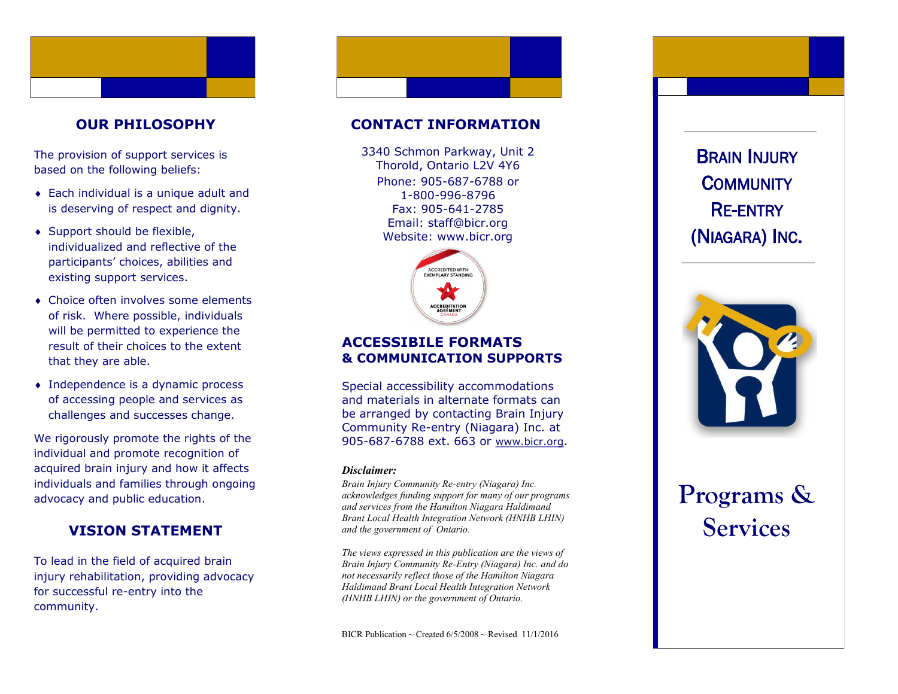# **OUR PHILOSOPHY**

The provision of support services is based on the following beliefs:

- Each individual is a unique adult and is deserving of respect and dignity.
- ◆ Support should be flexible, individualized and reflective of the participants' choices, abilities and existing support services.
- Choice often involves some elements of risk. Where possible, individuals will be permitted to experience the result of their choices to the extent that they are able.
- Independence is a dynamic process of accessing people and services as challenges and successes change.

We rigorously promote the rights of the individual and promote recognition of acquired brain injury and how it affects individuals and families through ongoing advocacy and public education.

# **VISION STATEMENT**

To lead in the field of acquired brain injury rehabilitation, providing advocacy for successful re -entry into the community.

### **CONTACT INFORMATION**

Phone: 905 -687 -6788 or 1 -800 -996 -8796 Fax: 905 -641 -2785 Email: staff@bicr.org Website: www.bicr.org 3340 Schmon Parkway, Unit 2 Thorold, Ontario L2V 4Y6



# **ACCESSIBILE FORMATS & COMMUNICATION SUPPORTS**

Special accessibility accommodations and materials in alternate formats can be arranged by contacting Brain Injury Community Re -entry (Niagara) Inc. at 905-687-6788 ext. 663 or [www.bicr.org](http://www.bicr.org).

#### *Disclaimer:*

*Brain Injury Community Re -entry (Niagara) Inc. acknowledges funding support for many of our programs and services from the Hamilton Niagara Haldimand Brant Local Health Integration Network (HNHB LHIN) and the government of Ontario.* 

*The views expressed in this publication are the views of Brain Injury Community Re -Entry (Niagara) Inc. and do not necessarily reflect those of the Hamilton Niagara Haldimand Brant Local Health Integration Network (HNHB LHIN) or the government of Ontario.* 

(NIAGARA) INC .



# **Programs &**